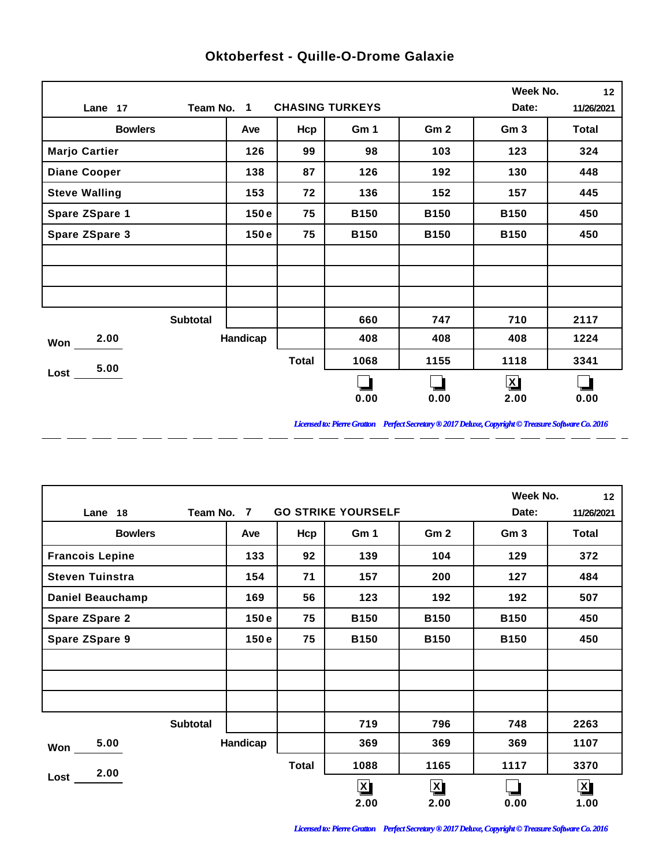|                       |          |              |                        |                 | Week No.        | 12         |
|-----------------------|----------|--------------|------------------------|-----------------|-----------------|------------|
| Team No. 1<br>Lane 17 |          |              | <b>CHASING TURKEYS</b> |                 | Date:           | 11/26/2021 |
| <b>Bowlers</b>        | Ave      | Hcp          | Gm 1                   | Gm <sub>2</sub> | Gm <sub>3</sub> | Total      |
| <b>Marjo Cartier</b>  | 126      | 99           | 98                     | 103             | 123             | 324        |
| <b>Diane Cooper</b>   | 138      | 87           | 126                    | 192             | 130             | 448        |
| <b>Steve Walling</b>  | 153      | 72           | 136                    | 152             | 157             | 445        |
| Spare ZSpare 1        | 150e     | 75           | <b>B150</b>            | <b>B150</b>     | <b>B150</b>     | 450        |
| <b>Spare ZSpare 3</b> | 150e     | 75           | <b>B150</b>            | <b>B150</b>     | <b>B150</b>     | 450        |
|                       |          |              |                        |                 |                 |            |
|                       |          |              |                        |                 |                 |            |
|                       |          |              |                        |                 |                 |            |
| <b>Subtotal</b>       |          |              | 660                    | 747             | 710             | 2117       |
| 2.00<br>Won           | Handicap |              | 408                    | 408             | 408             | 1224       |
| 5.00                  |          | <b>Total</b> | 1068                   | 1155            | 1118            | 3341       |
| Loss                  |          |              |                        |                 | $\mathbf{X}$    |            |
|                       |          |              | 0.00                   | 0.00            | 2.00            | 0.00       |

 $\overline{a}$ 

 $\overline{a}$ 

 $\overline{\phantom{a}}$ 

 $\overline{a}$ 

 $-$ 

 $\overline{a}$ 

 $\overline{a}$ 

## **Oktoberfest - Quille-O-Drome Galaxie**

*Licensed to: Pierre Gratton Perfect Secretary ® 2017 Deluxe, Copyright © Treasure Software Co. 2016*

<u> 2002 - 2003 - 2003 - 2003 - 2003 - 2003 - 2003 - 2003 - 2003 - 2003 - 2003 - 2003 - 2003 - 2003 - 2003 - 200</u>

|                         |                 |            |              |                         |                 | Week No.        | 12                      |
|-------------------------|-----------------|------------|--------------|-------------------------|-----------------|-----------------|-------------------------|
| Lane 18                 | Date:           | 11/26/2021 |              |                         |                 |                 |                         |
| <b>Bowlers</b>          |                 | Ave        | Hcp          | Gm 1                    | Gm <sub>2</sub> | Gm <sub>3</sub> | <b>Total</b>            |
| <b>Francois Lepine</b>  |                 | 133        | 92           | 139                     | 104             | 129             | 372                     |
| <b>Steven Tuinstra</b>  |                 | 154        | 71           | 157                     | 200             | 127             | 484                     |
| <b>Daniel Beauchamp</b> |                 | 169        | 56           | 123                     | 192             | 192             | 507                     |
| <b>Spare ZSpare 2</b>   |                 | 150e       | 75           | <b>B150</b>             | <b>B150</b>     | <b>B150</b>     | 450                     |
| <b>Spare ZSpare 9</b>   |                 | 150e       | 75           | <b>B150</b>             | <b>B150</b>     | <b>B150</b>     | 450                     |
|                         |                 |            |              |                         |                 |                 |                         |
|                         |                 |            |              |                         |                 |                 |                         |
|                         |                 |            |              |                         |                 |                 |                         |
|                         | <b>Subtotal</b> |            |              | 719                     | 796             | 748             | 2263                    |
| 5.00<br>Won             |                 | Handicap   |              | 369                     | 369             | 369             | 1107                    |
| 2.00                    |                 |            | <b>Total</b> | 1088                    | 1165            | 1117            | 3370                    |
| Lost                    |                 |            |              | $\overline{\mathbf{X}}$ | $\mathbf{X}$    |                 | $\overline{\mathbf{X}}$ |
|                         |                 |            |              | 2.00                    | 2.00            | 0.00            | 1.00                    |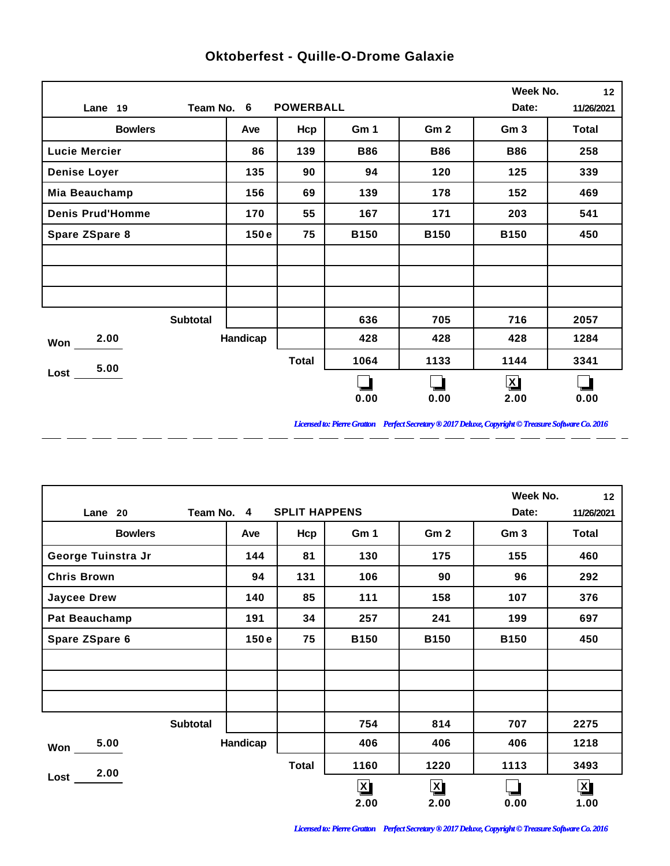|                         |            |                  |             |                 | Week No.        | 12           |
|-------------------------|------------|------------------|-------------|-----------------|-----------------|--------------|
| Lane 19                 | Team No. 6 | <b>POWERBALL</b> |             |                 | Date:           | 11/26/2021   |
| <b>Bowlers</b>          | Ave        | Hcp              | Gm 1        | Gm <sub>2</sub> | Gm <sub>3</sub> | <b>Total</b> |
| <b>Lucie Mercier</b>    | 86         | 139              | <b>B86</b>  | <b>B86</b>      | <b>B86</b>      | 258          |
| <b>Denise Loyer</b>     | 135        | 90               | 94          | 120             | 125             | 339          |
| Mia Beauchamp           | 156        | 69               | 139         | 178             | 152             | 469          |
| <b>Denis Prud'Homme</b> | 170        | 55               | 167         | 171             | 203             | 541          |
| Spare ZSpare 8          | 150e       | 75               | <b>B150</b> | <b>B150</b>     | <b>B150</b>     | 450          |
|                         |            |                  |             |                 |                 |              |
|                         |            |                  |             |                 |                 |              |
|                         |            |                  |             |                 |                 |              |
| <b>Subtotal</b>         |            |                  | 636         | 705             | 716             | 2057         |
| 2.00<br>Won             | Handicap   |                  | 428         | 428             | 428             | 1284         |
| 5.00                    |            | <b>Total</b>     | 1064        | 1133            | 1144            | 3341         |
| $Loss$ $-$              |            |                  |             |                 | $\mathbf{X}$    |              |
|                         |            |                  | 0.00        | 0.00            | 2.00            | 0.00         |

 $\overline{a}$ 

 $\overline{a}$ 

 $\overline{a}$ 

 $\overline{a}$ 

 $-$ 

 $\overline{a}$ 

 $=$   $=$ 

## **Oktoberfest - Quille-O-Drome Galaxie**

*Licensed to: Pierre Gratton Perfect Secretary ® 2017 Deluxe, Copyright © Treasure Software Co. 2016* 

 $\overline{\phantom{0}}$ 

|                    |            |                      |              |                 | Week No.        | 12                      |
|--------------------|------------|----------------------|--------------|-----------------|-----------------|-------------------------|
| Lane 20            | Team No. 4 | <b>SPLIT HAPPENS</b> |              |                 | Date:           | 11/26/2021              |
| <b>Bowlers</b>     | Ave        | Hcp                  | Gm 1         | Gm <sub>2</sub> | Gm <sub>3</sub> | Total                   |
| George Tuinstra Jr | 144        | 81                   | 130          | 175             | 155             | 460                     |
| <b>Chris Brown</b> | 94         | 131                  | 106          | 90              | 96              | 292                     |
| <b>Jaycee Drew</b> | 140        | 85                   | 111          | 158             | 107             | 376                     |
| Pat Beauchamp      | 191        | 34                   | 257          | 241             | 199             | 697                     |
| Spare ZSpare 6     | 150e       | 75                   | <b>B150</b>  | <b>B150</b>     | <b>B150</b>     | 450                     |
|                    |            |                      |              |                 |                 |                         |
|                    |            |                      |              |                 |                 |                         |
|                    |            |                      |              |                 |                 |                         |
| <b>Subtotal</b>    |            |                      | 754          | 814             | 707             | 2275                    |
| 5.00<br>Won        | Handicap   |                      | 406          | 406             | 406             | 1218                    |
| 2.00               |            | <b>Total</b>         | 1160         | 1220            | 1113            | 3493                    |
| Lost               |            |                      | $\mathbf{X}$ | $\mathbf{X}$    |                 | $\overline{\mathbf{X}}$ |
|                    |            |                      | 2.00         | 2.00            | 0.00            | 1.00                    |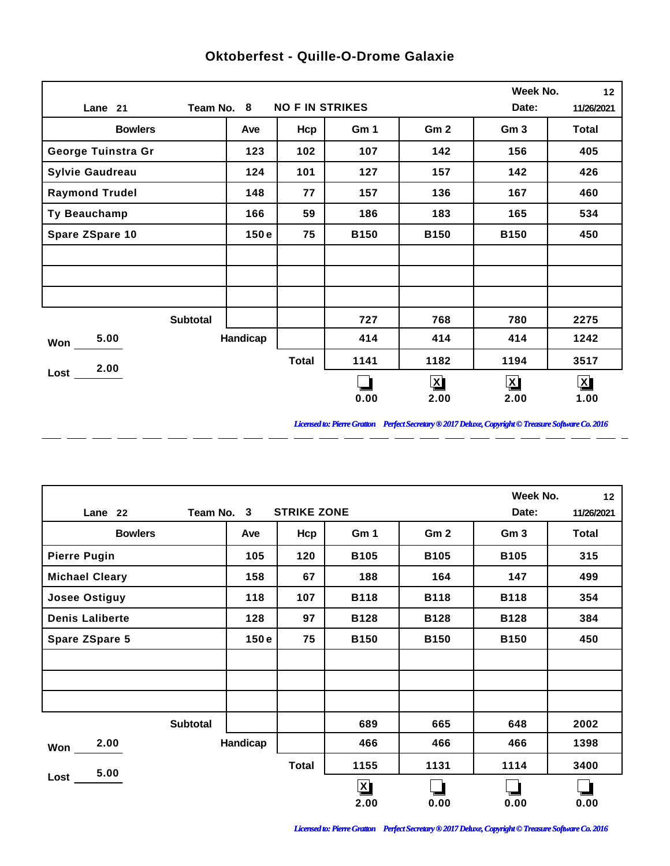|                        |                 |                        |             |                 | Week No.        | 12           |
|------------------------|-----------------|------------------------|-------------|-----------------|-----------------|--------------|
| Lane 21                | Team No. 8      | <b>NO F IN STRIKES</b> |             |                 | Date:           | 11/26/2021   |
| <b>Bowlers</b>         | Ave             | Hcp                    | Gm 1        | Gm <sub>2</sub> | Gm <sub>3</sub> | <b>Total</b> |
| George Tuinstra Gr     | 123             | 102                    | 107         | 142             | 156             | 405          |
| <b>Sylvie Gaudreau</b> | 124             | 101                    | 127         | 157             | 142             | 426          |
| <b>Raymond Trudel</b>  | 148             | 77                     | 157         | 136             | 167             | 460          |
| Ty Beauchamp           | 166             | 59                     | 186         | 183             | 165             | 534          |
| Spare ZSpare 10        | 150e            | 75                     | <b>B150</b> | <b>B150</b>     | <b>B150</b>     | 450          |
|                        |                 |                        |             |                 |                 |              |
|                        |                 |                        |             |                 |                 |              |
|                        |                 |                        |             |                 |                 |              |
|                        | <b>Subtotal</b> |                        | 727         | 768             | 780             | 2275         |
| 5.00<br>Won            | Handicap        |                        | 414         | 414             | 414             | 1242         |
| 2.00                   |                 | <b>Total</b>           | 1141        | 1182            | 1194            | 3517         |
| Lost                   |                 |                        |             | $\mathbf{X}$    | $\mathbf{X}$    | $\mathbf{X}$ |
|                        |                 |                        | 0.00        | 2.00            | 2.00            | 1.00         |

 $\overline{a}$ 

 $\overline{a}$ 

 $\overline{a}$ 

 $\overline{a}$ 

 $-$ 

 $\overline{a}$ 

 $=$   $=$ 

## **Oktoberfest - Quille-O-Drome Galaxie**

*Licensed to: Pierre Gratton Perfect Secretary ® 2017 Deluxe, Copyright © Treasure Software Co. 2016* 

 $\overline{\phantom{0}}$ 

|                        |          |              |              |                 | Week No.        | 12           |
|------------------------|----------|--------------|--------------|-----------------|-----------------|--------------|
| Team No. 3<br>Lane 22  | Date:    | 11/26/2021   |              |                 |                 |              |
| <b>Bowlers</b>         | Ave      | Hcp          | Gm 1         | Gm <sub>2</sub> | Gm <sub>3</sub> | <b>Total</b> |
| <b>Pierre Pugin</b>    | 105      | 120          | <b>B105</b>  | <b>B105</b>     | <b>B105</b>     | 315          |
| <b>Michael Cleary</b>  | 158      | 67           | 188          | 164             | 147             | 499          |
| <b>Josee Ostiguy</b>   | 118      | 107          | <b>B118</b>  | <b>B118</b>     | <b>B118</b>     | 354          |
| <b>Denis Laliberte</b> | 128      | 97           | <b>B128</b>  | <b>B128</b>     | <b>B128</b>     | 384          |
| <b>Spare ZSpare 5</b>  | 150e     | 75           | <b>B150</b>  | <b>B150</b>     | <b>B150</b>     | 450          |
|                        |          |              |              |                 |                 |              |
|                        |          |              |              |                 |                 |              |
|                        |          |              |              |                 |                 |              |
| <b>Subtotal</b>        |          |              | 689          | 665             | 648             | 2002         |
| 2.00<br>Won            | Handicap |              | 466          | 466             | 466             | 1398         |
| 5.00                   |          | <b>Total</b> | 1155         | 1131            | 1114            | 3400         |
| Lost                   |          |              | $\mathbf{X}$ |                 |                 |              |
|                        |          |              | 2.00         | 0.00            | 0.00            | 0.00         |